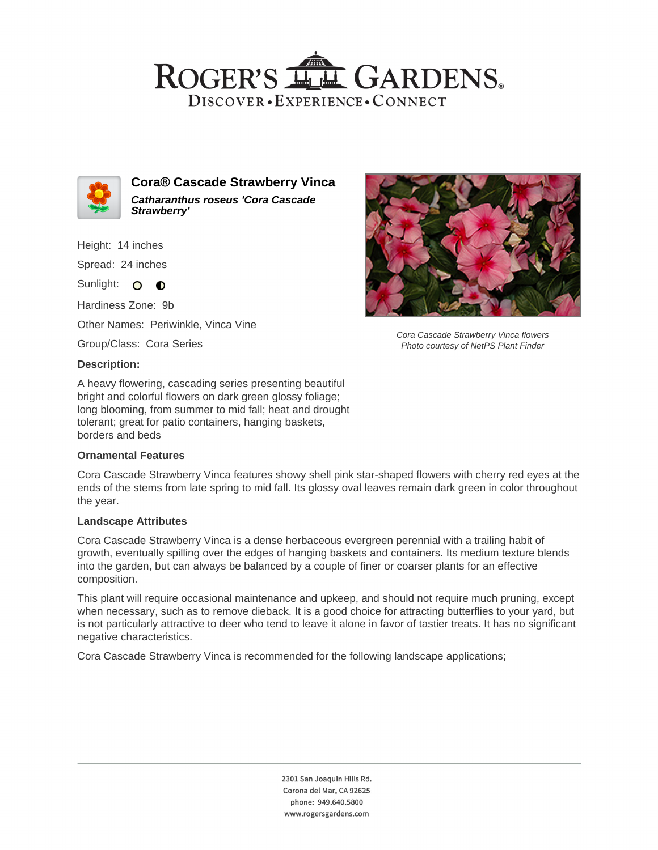## ROGER'S LL GARDENS. DISCOVER · EXPERIENCE · CONNECT



**Cora® Cascade Strawberry Vinca Catharanthus roseus 'Cora Cascade Strawberry'**

Height: 14 inches Spread: 24 inches

Sunlight: O **O** 

Hardiness Zone: 9b

Other Names: Periwinkle, Vinca Vine

Group/Class: Cora Series

#### **Description:**

A heavy flowering, cascading series presenting beautiful bright and colorful flowers on dark green glossy foliage; long blooming, from summer to mid fall; heat and drought tolerant; great for patio containers, hanging baskets, borders and beds

## **Ornamental Features**

Cora Cascade Strawberry Vinca features showy shell pink star-shaped flowers with cherry red eyes at the ends of the stems from late spring to mid fall. Its glossy oval leaves remain dark green in color throughout the year.

#### **Landscape Attributes**

Cora Cascade Strawberry Vinca is a dense herbaceous evergreen perennial with a trailing habit of growth, eventually spilling over the edges of hanging baskets and containers. Its medium texture blends into the garden, but can always be balanced by a couple of finer or coarser plants for an effective composition.

This plant will require occasional maintenance and upkeep, and should not require much pruning, except when necessary, such as to remove dieback. It is a good choice for attracting butterflies to your yard, but is not particularly attractive to deer who tend to leave it alone in favor of tastier treats. It has no significant negative characteristics.

Cora Cascade Strawberry Vinca is recommended for the following landscape applications;



Cora Cascade Strawberry Vinca flowers Photo courtesy of NetPS Plant Finder

2301 San Joaquin Hills Rd. Corona del Mar, CA 92625 phone: 949.640.5800 www.rogersgardens.com